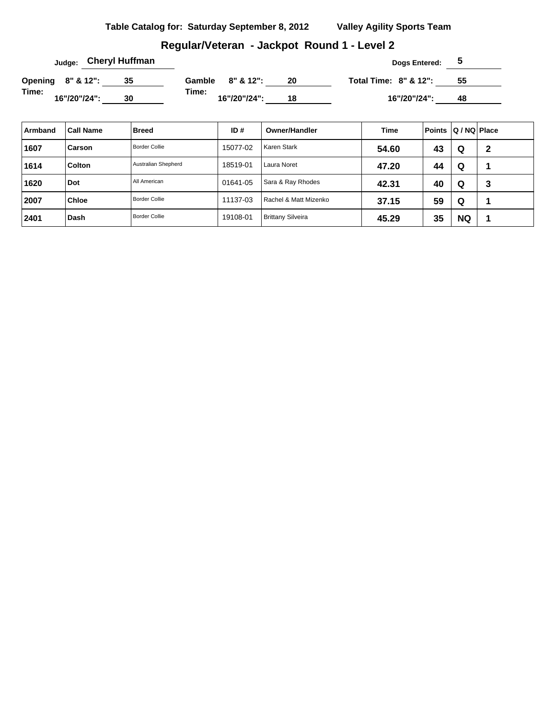#### **Table Catalog for: Saturday September 8, 2012 Valley Agility Sports Team**

#### **Regular/Veteran - Jackpot Round 1 - Level 2**

|       | <sub>Judge:</sub> Cheryl Huffman |    |       |                  |    | Dogs Entered:                    | C  |  |
|-------|----------------------------------|----|-------|------------------|----|----------------------------------|----|--|
|       | Opening 8" & 12":                |    |       | Gamble 8" & 12": | 20 | <b>Total Time: 8" &amp; 12":</b> | 55 |  |
| Time: | 16"/20"/24":                     | 30 | Time: | 16"/20"/24":     | 18 | 16"/20"/24":                     | 48 |  |

| Armband | <b>Call Name</b> | <b>Breed</b>         | ID#      | <b>Owner/Handler</b>     | Time  | <b>Points</b> | Q / NQ   Place |   |
|---------|------------------|----------------------|----------|--------------------------|-------|---------------|----------------|---|
| 1607    | Carson           | <b>Border Collie</b> | 15077-02 | Karen Stark              | 54.60 | 43            | Q              | 2 |
| 1614    | <b>Colton</b>    | Australian Shepherd  | 18519-01 | Laura Noret              | 47.20 | 44            | Q              |   |
| 1620    | Dot              | All American         | 01641-05 | Sara & Ray Rhodes        | 42.31 | 40            | Q              | 3 |
| 2007    | <b>Chloe</b>     | <b>Border Collie</b> | 11137-03 | Rachel & Matt Mizenko    | 37.15 | 59            | Q              |   |
| 2401    | Dash             | <b>Border Collie</b> | 19108-01 | <b>Brittany Silveira</b> | 45.29 | 35            | <b>NQ</b>      |   |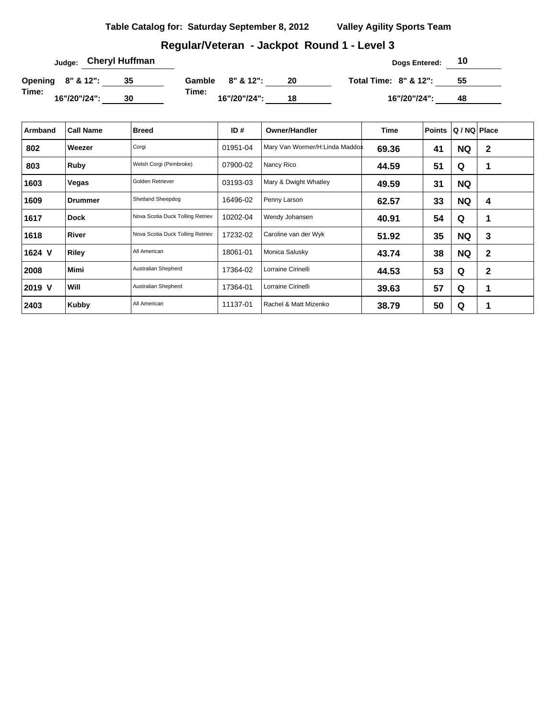#### **Table Catalog for: Saturday September 8, 2012 Valley Agility Sports Team**

#### **Regular/Veteran - Jackpot Round 1 - Level 3**

| <sub>Judge:</sub> Cheryl Huffman |    |                       |    | Dogs Entered:                    | 10 |  |
|----------------------------------|----|-----------------------|----|----------------------------------|----|--|
| Opening 8" & 12":                |    | Gamble 8" & 12":      | 20 | <b>Total Time: 8" &amp; 12":</b> | 55 |  |
| Time:<br>16"/20"/24":            | 30 | Time:<br>16"/20"/24": | 18 | 16"/20"/24":                     | 48 |  |

| Armband | <b>Call Name</b> | <b>Breed</b>                     | ID $#$   | <b>Owner/Handler</b>           | Time  | <b>Points</b> | Q / NQ Place |              |
|---------|------------------|----------------------------------|----------|--------------------------------|-------|---------------|--------------|--------------|
| 802     | Weezer           | Corgi                            | 01951-04 | Mary Van Wormer/H:Linda Maddox | 69.36 | 41            | <b>NQ</b>    | $\mathbf{2}$ |
| 803     | Ruby             | Welsh Corgi (Pembroke)           | 07900-02 | Nancy Rico                     | 44.59 | 51            | Q            |              |
| 1603    | Vegas            | Golden Retriever                 | 03193-03 | Mary & Dwight Whatley          | 49.59 | 31            | <b>NQ</b>    |              |
| 1609    | <b>Drummer</b>   | Shetland Sheepdog                | 16496-02 | Penny Larson                   | 62.57 | 33            | <b>NQ</b>    | 4            |
| 1617    | <b>Dock</b>      | Nova Scotia Duck Tolling Retriev | 10202-04 | Wendy Johansen                 | 40.91 | 54            | Q            | 1            |
| 1618    | <b>River</b>     | Nova Scotia Duck Tolling Retriev | 17232-02 | Caroline van der Wyk           | 51.92 | 35            | <b>NQ</b>    | 3            |
| 1624 V  | <b>Riley</b>     | All American                     | 18061-01 | Monica Salusky                 | 43.74 | 38            | <b>NQ</b>    | $\mathbf{2}$ |
| 2008    | <b>Mimi</b>      | Australian Shepherd              | 17364-02 | Lorraine Cirinelli             | 44.53 | 53            | Q            | $\mathbf 2$  |
| 2019 V  | <b>Will</b>      | Australian Shepherd              | 17364-01 | Lorraine Cirinelli             | 39.63 | 57            | Q            | 1            |
| 2403    | Kubby            | All American                     | 11137-01 | Rachel & Matt Mizenko          | 38.79 | 50            | Q            | 1            |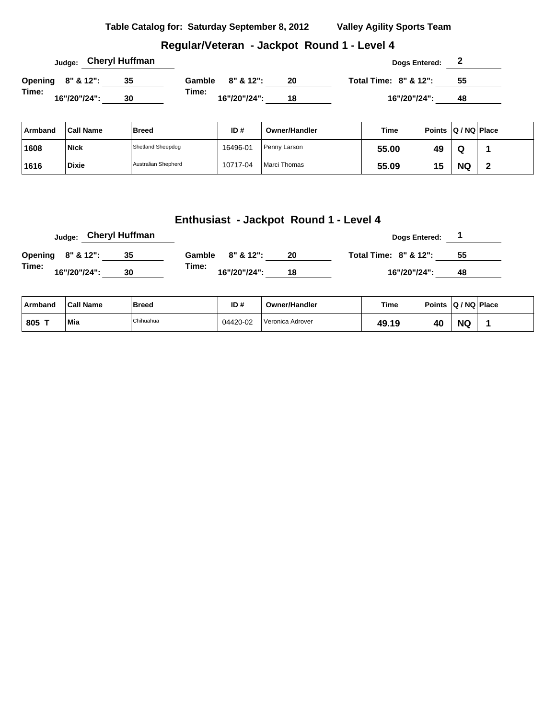**Table Catalog for: Saturday September 8, 2012 Valley Agility Sports Team**

#### **Regular/Veteran - Jackpot Round 1 - Level 4**

|                   |  |              | <sub>Judge:</sub> Cheryl Huffman |                       |              |    |  | Dogs Entered:         | $\epsilon$ |  |
|-------------------|--|--------------|----------------------------------|-----------------------|--------------|----|--|-----------------------|------------|--|
| Opening 8" & 12": |  |              | 35                               | Gamble $8'' \& 12"$ : |              | 20 |  | Total Time: 8" & 12": | - 55       |  |
| Time:             |  | 16"/20"/24": | 30                               | Time:                 | 16"/20"/24": | 18 |  | 16"/20"/24":          | 48         |  |

| ∣ Armband | <b>Call Name</b> | <b>Breed</b>             | ID#      | <b>Owner/Handler</b> | Time  | Points Q/NQ Place |           |   |
|-----------|------------------|--------------------------|----------|----------------------|-------|-------------------|-----------|---|
| 1608      | <b>Nick</b>      | <b>Shetland Sheepdog</b> | 16496-01 | Penny Larson         | 55.00 | 49                | W         |   |
| 1616      | <b>Dixie</b>     | Australian Shepherd      | 10717-04 | Marci Thomas         | 55.09 | 7 h<br>س د        | <b>NQ</b> | - |

#### **Enthusiast - Jackpot Round 1 - Level 4**

|                              | <sub>Judge:</sub> Cheryl Huffman |        |              |    | Dogs Entered:                    |    |
|------------------------------|----------------------------------|--------|--------------|----|----------------------------------|----|
| <b>Opening 8" &amp; 12":</b> | -35                              | Gamble | 8" & 12":    | 20 | <b>Total Time: 8" &amp; 12":</b> | 55 |
| Time:<br>16"/20"/24":        | 30                               | Time:  | 16"/20"/24": | 18 | 16"/20"/24":                     | 48 |

| ∣ Armband     | <b>Call Name</b> | Breed     | ID#      | <b>Owner/Handler</b> | Time  | Points Q / NQ Place |           |  |
|---------------|------------------|-----------|----------|----------------------|-------|---------------------|-----------|--|
| $.805$ $\tau$ | Mia              | Chihuahua | 04420-02 | l Veronica Adrover   | 49.19 | 40                  | <b>NQ</b> |  |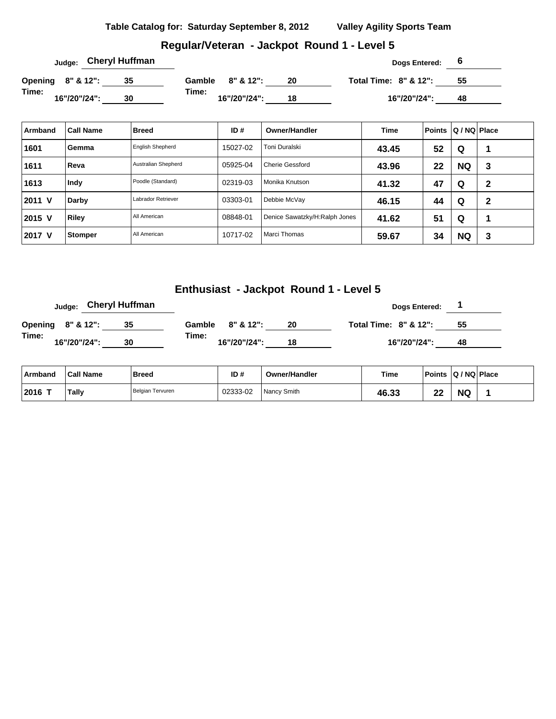| Table Catalog for: Saturday September 8, 2012 | <b>Valley Agility Sports Team</b> |
|-----------------------------------------------|-----------------------------------|
|                                               |                                   |

## **Regular/Veteran - Jackpot Round 1 - Level 5**

| Judge:                | <b>Cheryl Huffman</b> |                       |    | Dogs Entered:                    |    |  |
|-----------------------|-----------------------|-----------------------|----|----------------------------------|----|--|
| Opening 8" & 12":     |                       | 8" & 12":<br>Gamble   | 20 | <b>Total Time: 8" &amp; 12":</b> | 55 |  |
| Time:<br>16"/20"/24": | 30                    | Time:<br>16"/20"/24": | 18 | 16"/20"/24":                     | 48 |  |

| Armband | <b>Call Name</b> | <b>Breed</b>            | ID#      | Owner/Handler                 | <b>Time</b> | <b>Points</b> | Q / NQ Place |   |
|---------|------------------|-------------------------|----------|-------------------------------|-------------|---------------|--------------|---|
| 1601    | Gemma            | <b>English Shepherd</b> | 15027-02 | Toni Duralski                 | 43.45       | 52            | Q            |   |
| 1611    | Reva             | Australian Shepherd     | 05925-04 | <b>Cherie Gessford</b>        | 43.96       | 22            | <b>NQ</b>    | 3 |
| 1613    | Indy             | Poodle (Standard)       | 02319-03 | Monika Knutson                | 41.32       | 47            | Q            | 2 |
| 2011 V  | Darby            | Labrador Retriever      | 03303-01 | Debbie McVay                  | 46.15       | 44            | Q            | 2 |
| 2015 V  | <b>Riley</b>     | All American            | 08848-01 | Denice Sawatzky/H:Ralph Jones | 41.62       | 51            | Q            |   |
| 2017 V  | Stomper          | All American            | 10717-02 | Marci Thomas                  | 59.67       | 34            | <b>NQ</b>    | 3 |

## **Enthusiast - Jackpot Round 1 - Level 5**

|                   |              | Judge: Cheryl Huffman |        |              |    | Dogs Entered:                    |    |
|-------------------|--------------|-----------------------|--------|--------------|----|----------------------------------|----|
| Opening 8" & 12": |              | 35                    | Gamble | 8" & 12":    | 20 | <b>Total Time: 8" &amp; 12":</b> | 55 |
| Time:             | 16"/20"/24": | 30                    | Time:  | 16"/20"/24": | 18 | 16"/20"/24":                     | 48 |

| Armband   | <b>Call Name</b> | <b>Breed</b>     | ID#      | <b>Owner/Handler</b> | <b>Time</b> | Points    | $ Q/NQ $ Place |  |
|-----------|------------------|------------------|----------|----------------------|-------------|-----------|----------------|--|
| $12016$ T | <b>Tally</b>     | Belgian Tervuren | 02333-02 | Nancy Smith          | 46.33       | ne.<br>-- | <b>NQ</b>      |  |